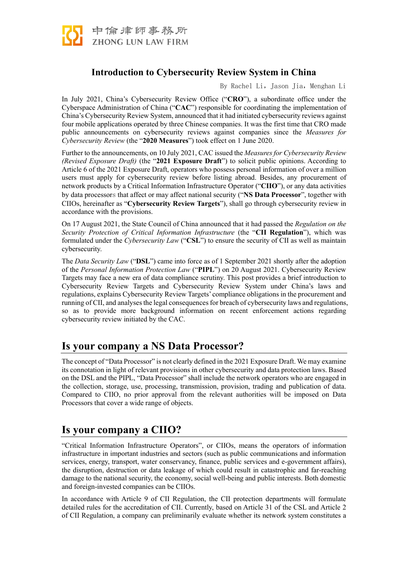

# **Introduction to Cybersecurity Review System in China**

By Rachel Li, Jason Jia, Menghan Li

In July 2021, China's Cybersecurity Review Office ("**CRO**"), a subordinate office under the Cyberspace Administration of China ("**CAC**") responsible for coordinating the implementation of China's Cybersecurity Review System, announced that it had initiated cybersecurity reviews against four mobile applications operated by three Chinese companies. It was the first time that CRO made public announcements on cybersecurity reviews against companies since the *Measures for Cybersecurity Review* (the "**2020 Measures**") took effect on 1 June 2020.

Further to the announcements, on 10 July 2021, CAC issued the *Measures for Cybersecurity Review (Revised Exposure Draft)* (the "**2021 Exposure Draft**") to solicit public opinions. According to Article 6 of the 2021 Exposure Draft, operators who possess personal information of over a million users must apply for cybersecurity review before listing abroad. Besides, any procurement of network products by a Critical Information Infrastructure Operator ("**CIIO**"), or any data activities by data processors that affect or may affect national security ("**NS Data Processor**", together with CIIOs, hereinafter as "**Cybersecurity Review Targets**"), shall go through cybersecurity review in accordance with the provisions.

On 17 August 2021, the State Council of China announced that it had passed the *Regulation on the Security Protection of Critical Information Infrastructure* (the "**CII Regulation**"), which was formulated under the *Cybersecurity Law* ("**CSL**") to ensure the security of CII as well as maintain cybersecurity.

The *Data Security Law* ("**DSL**") came into force as of 1 September 2021 shortly after the adoption of the *Personal Information Protection Law* ("**PIPL**") on 20 August 2021. Cybersecurity Review Targets may face a new era of data compliance scrutiny. This post provides a brief introduction to Cybersecurity Review Targets and Cybersecurity Review System under China's laws and regulations, explains Cybersecurity Review Targets' compliance obligations in the procurement and running of CII, and analyses the legal consequences for breach of cybersecurity laws and regulations, so as to provide more background information on recent enforcement actions regarding cybersecurity review initiated by the CAC.

# **Is your company a NS Data Processor?**

The concept of "Data Processor" is not clearly defined in the 2021 Exposure Draft. We may examine its connotation in light of relevant provisions in other cybersecurity and data protection laws. Based on the DSL and the PIPL, "Data Processor" shall include the network operators who are engaged in the collection, storage, use, processing, transmission, provision, trading and publication of data. Compared to CIIO, no prior approval from the relevant authorities will be imposed on Data Processors that cover a wide range of objects.

# **Is your company a CIIO?**

"Critical Information Infrastructure Operators", or CIIOs, means the operators of information infrastructure in important industries and sectors (such as public communications and information services, energy, transport, water conservancy, finance, public services and e-government affairs), the disruption, destruction or data leakage of which could result in catastrophic and far-reaching damage to the national security, the economy, social well-being and public interests. Both domestic and foreign-invested companies can be CIIOs.

In accordance with Article 9 of CII Regulation, the CII protection departments will formulate detailed rules for the accreditation of CII. Currently, based on Article 31 of the CSL and Article 2 of CII Regulation, a company can preliminarily evaluate whether its network system constitutes a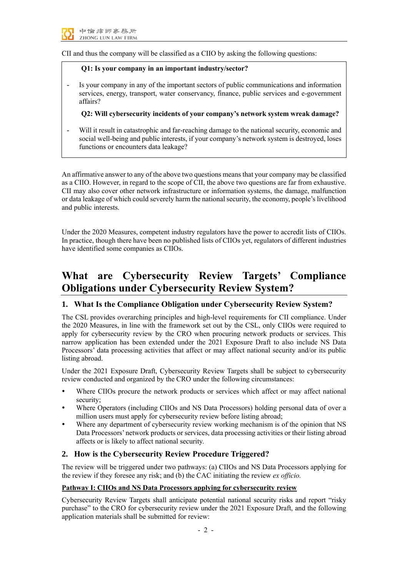

CII and thus the company will be classified as a CIIO by asking the following questions:

#### **Q1: Is your company in an important industry/sector?**

**-** Is your company in any of the important sectors of public communications and information services, energy, transport, water conservancy, finance, public services and e-government affairs?

**Q2: Will cybersecurity incidents of your company's network system wreak damage?**

**-** Will it result in catastrophic and far-reaching damage to the national security, economic and social well-being and public interests, if your company's network system is destroyed, loses functions or encounters data leakage?

An affirmative answer to any of the above two questions means that your company may be classified as a CIIO. However, in regard to the scope of CII, the above two questions are far from exhaustive. CII may also cover other network infrastructure or information systems, the damage, malfunction or data leakage of which could severely harm the national security, the economy, people's livelihood and public interests.

Under the 2020 Measures, competent industry regulators have the power to accredit lists of CIIOs. In practice, though there have been no published lists of CIIOs yet, regulators of different industries have identified some companies as CIIOs.

# **What are Cybersecurity Review Targets' Compliance Obligations under Cybersecurity Review System?**

# **1. What Is the Compliance Obligation under Cybersecurity Review System?**

The CSL provides overarching principles and high-level requirements for CII compliance. Under the 2020 Measures, in line with the framework set out by the CSL, only CIIOs were required to apply for cybersecurity review by the CRO when procuring network products or services. This narrow application has been extended under the 2021 Exposure Draft to also include NS Data Processors' data processing activities that affect or may affect national security and/or its public listing abroad.

Under the 2021 Exposure Draft, Cybersecurity Review Targets shall be subject to cybersecurity review conducted and organized by the CRO under the following circumstances:

- Where CIIOs procure the network products or services which affect or may affect national security;
- Where Operators (including CIIOs and NS Data Processors) holding personal data of over a million users must apply for cybersecurity review before listing abroad;
- Where any department of cybersecurity review working mechanism is of the opinion that NS Data Processors' network products or services, data processing activities or their listing abroad affects or is likely to affect national security.

# **2. How is the Cybersecurity Review Procedure Triggered?**

The review will be triggered under two pathways: (a) CIIOs and NS Data Processors applying for the review if they foresee any risk; and (b) the CAC initiating the review *ex officio.*

# **Pathway Ⅰ: CIIOs and NS Data Processors applying for cybersecurity review**

Cybersecurity Review Targets shall anticipate potential national security risks and report "risky purchase" to the CRO for cybersecurity review under the 2021 Exposure Draft, and the following application materials shall be submitted for review: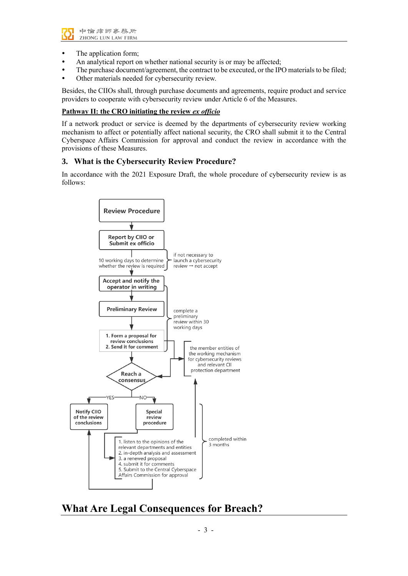

- The application form;
- An analytical report on whether national security is or may be affected;
- The purchase document/agreement, the contract to be executed, or the IPO materials to be filed;
- Other materials needed for cybersecurity review.

Besides, the CIIOs shall, through purchase documents and agreements, require product and service providers to cooperate with cybersecurity review under Article 6 of the Measures.

#### **Pathway IⅠ: the CRO initiating the review** *ex officio*

If a network product or service is deemed by the departments of cybersecurity review working mechanism to affect or potentially affect national security, the CRO shall submit it to the Central Cyberspace Affairs Commission for approval and conduct the review in accordance with the provisions of these Measures.

# **3. What is the Cybersecurity Review Procedure?**

In accordance with the 2021 Exposure Draft, the whole procedure of cybersecurity review is as follows:



**What Are Legal Consequences for Breach?**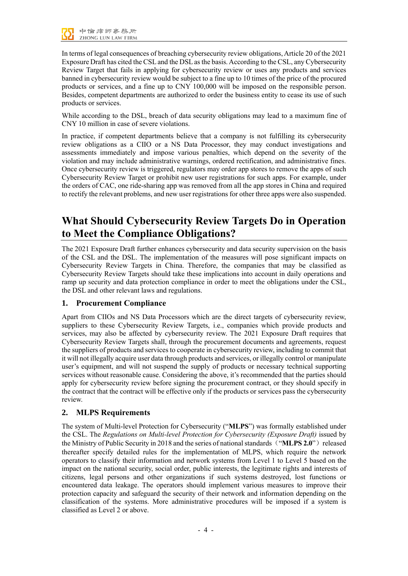

In terms of legal consequences of breaching cybersecurity review obligations, Article 20 of the 2021 Exposure Draft has cited the CSLand the DSLas the basis. According to the CSL, any Cybersecurity Review Target that fails in applying for cybersecurity review or uses any products and services banned in cybersecurity review would be subject to a fine up to 10 times of the price of the procured products or services, and a fine up to CNY 100,000 will be imposed on the responsible person. Besides, competent departments are authorized to order the business entity to cease its use of such products or services.

While according to the DSL, breach of data security obligations may lead to a maximum fine of CNY 10 million in case of severe violations.

In practice, if competent departments believe that a company is not fulfilling its cybersecurity review obligations as a CIIO or a NS Data Processor, they may conduct investigations and assessments immediately and impose various penalties, which depend on the severity of the violation and may include administrative warnings, ordered rectification, and administrative fines. Once cybersecurity review is triggered, regulators may order app stores to remove the apps of such Cybersecurity Review Target or prohibit new user registrations for such apps. For example, under the orders of CAC, one ride-sharing app was removed from all the app stores in China and required to rectify the relevant problems, and new user registrations for other three apps were also suspended.

# **What Should Cybersecurity Review Targets Do in Operation to Meet the Compliance Obligations?**

The 2021 Exposure Draft further enhances cybersecurity and data security supervision on the basis of the CSL and the DSL. The implementation of the measures will pose significant impacts on Cybersecurity Review Targets in China. Therefore, the companies that may be classified as Cybersecurity Review Targets should take these implications into account in daily operations and ramp up security and data protection compliance in order to meet the obligations under the CSL, the DSL and other relevant laws and regulations.

# **1. Procurement Compliance**

Apart from CIIOs and NS Data Processors which are the direct targets of cybersecurity review, suppliers to these Cybersecurity Review Targets, i.e., companies which provide products and services, may also be affected by cybersecurity review. The 2021 Exposure Draft requires that Cybersecurity Review Targets shall, through the procurement documents and agreements, request the suppliers of products and services to cooperate in cybersecurity review, including to commit that it will not illegally acquire user data through products and services, or illegally control or manipulate user's equipment, and will not suspend the supply of products or necessary technical supporting services without reasonable cause. Considering the above, it's recommended that the parties should apply for cybersecurity review before signing the procurement contract, or they should specify in the contract that the contract will be effective only if the products or services pass the cybersecurity review.

# **2. MLPS Requirements**

The system of Multi-level Protection for Cybersecurity ("**MLPS**") was formally established under the CSL. The *Regulations on Multi-level Protection for Cybersecurity (Exposure Draft)* issued by the Ministry of Public Security in 2018 and the series of national standards("**MLPS 2.0**")released thereafter specify detailed rules for the implementation of MLPS, which require the network operators to classify their information and network systems from Level 1 to Level 5 based on the impact on the national security, social order, public interests, the legitimate rights and interests of citizens, legal persons and other organizations if such systems destroyed, lost functions or encountered data leakage. The operators should implement various measures to improve their protection capacity and safeguard the security of their network and information depending on the classification of the systems. More administrative procedures will be imposed if a system is classified as Level 2 or above.